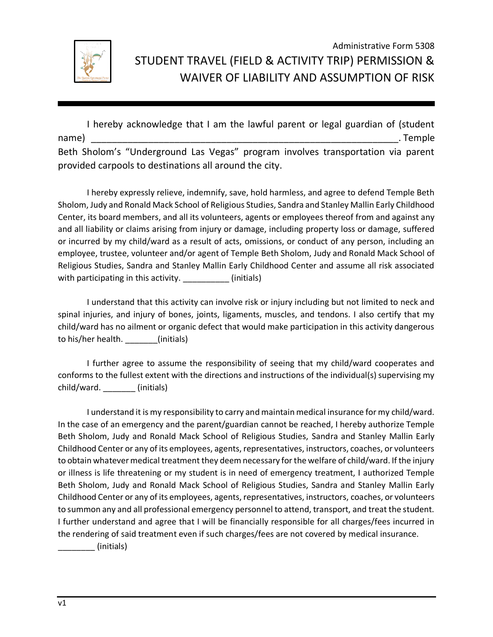

## Administrative Form 5308 STUDENT TRAVEL (FIELD & ACTIVITY TRIP) PERMISSION & WAIVER OF LIABILITY AND ASSUMPTION OF RISK

I hereby acknowledge that I am the lawful parent or legal guardian of (student name) \_\_\_\_\_\_\_\_\_\_\_\_\_\_\_\_\_\_\_\_\_\_\_\_\_\_\_\_\_\_\_\_\_\_\_\_\_\_\_\_\_\_\_\_\_\_\_\_\_\_\_\_\_\_\_\_\_\_\_. Temple Beth Sholom's "Underground Las Vegas" program involves transportation via parent provided carpools to destinations all around the city.

I hereby expressly relieve, indemnify, save, hold harmless, and agree to defend Temple Beth Sholom, Judy and Ronald Mack School of Religious Studies, Sandra and Stanley Mallin Early Childhood Center, its board members, and all its volunteers, agents or employees thereof from and against any and all liability or claims arising from injury or damage, including property loss or damage, suffered or incurred by my child/ward as a result of acts, omissions, or conduct of any person, including an employee, trustee, volunteer and/or agent of Temple Beth Sholom, Judy and Ronald Mack School of Religious Studies, Sandra and Stanley Mallin Early Childhood Center and assume all risk associated with participating in this activity. \_\_\_\_\_\_\_\_\_\_\_\_(initials)

I understand that this activity can involve risk or injury including but not limited to neck and spinal injuries, and injury of bones, joints, ligaments, muscles, and tendons. I also certify that my child/ward has no ailment or organic defect that would make participation in this activity dangerous to his/her health. \_\_\_\_\_\_\_(initials)

I further agree to assume the responsibility of seeing that my child/ward cooperates and conforms to the fullest extent with the directions and instructions of the individual(s) supervising my child/ward. \_\_\_\_\_\_\_ (initials)

I understand it is my responsibility to carry and maintain medical insurance for my child/ward. In the case of an emergency and the parent/guardian cannot be reached, I hereby authorize Temple Beth Sholom, Judy and Ronald Mack School of Religious Studies, Sandra and Stanley Mallin Early Childhood Center or any of its employees, agents, representatives, instructors, coaches, or volunteers to obtain whatever medical treatment they deem necessary for the welfare of child/ward. If the injury or illness is life threatening or my student is in need of emergency treatment, I authorized Temple Beth Sholom, Judy and Ronald Mack School of Religious Studies, Sandra and Stanley Mallin Early Childhood Center or any of its employees, agents, representatives, instructors, coaches, or volunteers to summon any and all professional emergency personnel to attend, transport, and treat the student. I further understand and agree that I will be financially responsible for all charges/fees incurred in the rendering of said treatment even if such charges/fees are not covered by medical insurance.

\_\_\_\_\_\_\_\_ (initials)